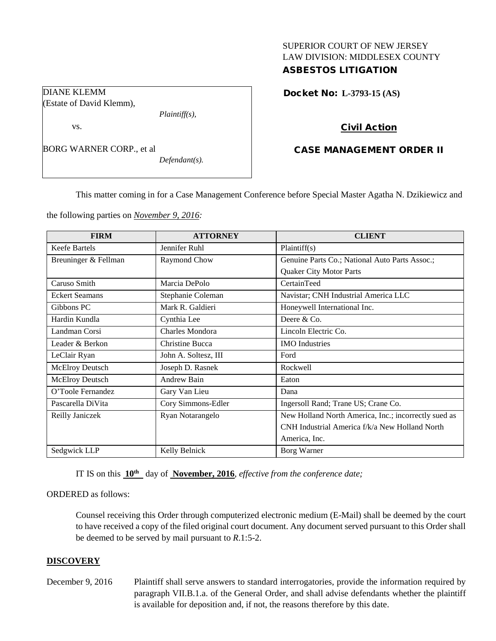# SUPERIOR COURT OF NEW JERSEY LAW DIVISION: MIDDLESEX COUNTY ASBESTOS LITIGATION

Docket No: **L-3793-15 (AS)** 

## Civil Action

# CASE MANAGEMENT ORDER II

This matter coming in for a Case Management Conference before Special Master Agatha N. Dzikiewicz and

the following parties on *November 9, 2016:*

*Plaintiff(s),*

*Defendant(s).*

DIANE KLEMM

vs.

(Estate of David Klemm),

BORG WARNER CORP., et al

| <b>FIRM</b>            | <b>ATTORNEY</b>      | <b>CLIENT</b>                                        |
|------------------------|----------------------|------------------------------------------------------|
| <b>Keefe Bartels</b>   | Jennifer Ruhl        | Plaintiff(s)                                         |
| Breuninger & Fellman   | Raymond Chow         | Genuine Parts Co.; National Auto Parts Assoc.;       |
|                        |                      | <b>Quaker City Motor Parts</b>                       |
| Caruso Smith           | Marcia DePolo        | CertainTeed                                          |
| <b>Eckert Seamans</b>  | Stephanie Coleman    | Navistar; CNH Industrial America LLC                 |
| Gibbons PC             | Mark R. Galdieri     | Honeywell International Inc.                         |
| Hardin Kundla          | Cynthia Lee          | Deere $&Co.$                                         |
| Landman Corsi          | Charles Mondora      | Lincoln Electric Co.                                 |
| Leader & Berkon        | Christine Bucca      | <b>IMO</b> Industries                                |
| LeClair Ryan           | John A. Soltesz, III | Ford                                                 |
| <b>McElroy Deutsch</b> | Joseph D. Rasnek     | Rockwell                                             |
| McElroy Deutsch        | Andrew Bain          | Eaton                                                |
| O'Toole Fernandez      | Gary Van Lieu        | Dana                                                 |
| Pascarella DiVita      | Cory Simmons-Edler   | Ingersoll Rand; Trane US; Crane Co.                  |
| Reilly Janiczek        | Ryan Notarangelo     | New Holland North America, Inc.; incorrectly sued as |
|                        |                      | CNH Industrial America f/k/a New Holland North       |
|                        |                      | America, Inc.                                        |
| Sedgwick LLP           | Kelly Belnick        | Borg Warner                                          |

IT IS on this **10th** day of **November, 2016**, *effective from the conference date;*

### ORDERED as follows:

Counsel receiving this Order through computerized electronic medium (E-Mail) shall be deemed by the court to have received a copy of the filed original court document. Any document served pursuant to this Order shall be deemed to be served by mail pursuant to *R*.1:5-2.

## **DISCOVERY**

December 9, 2016 Plaintiff shall serve answers to standard interrogatories, provide the information required by paragraph VII.B.1.a. of the General Order, and shall advise defendants whether the plaintiff is available for deposition and, if not, the reasons therefore by this date.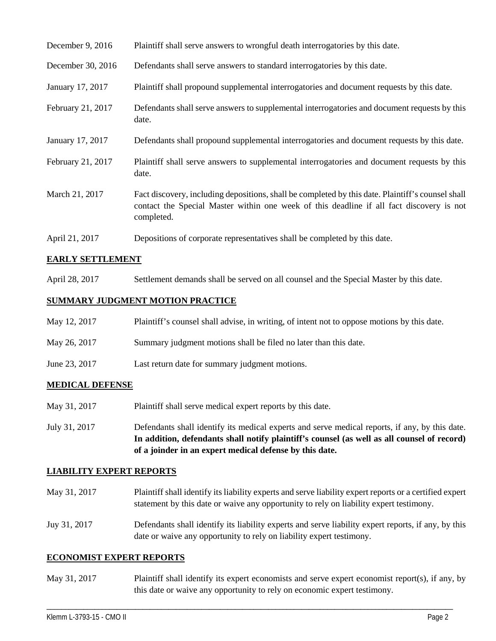| December 9, 2016  | Plaintiff shall serve answers to wrongful death interrogatories by this date.                                                                                                                               |
|-------------------|-------------------------------------------------------------------------------------------------------------------------------------------------------------------------------------------------------------|
| December 30, 2016 | Defendants shall serve answers to standard interrogatories by this date.                                                                                                                                    |
| January 17, 2017  | Plaintiff shall propound supplemental interrogatories and document requests by this date.                                                                                                                   |
| February 21, 2017 | Defendants shall serve answers to supplemental interrogatories and document requests by this<br>date.                                                                                                       |
| January 17, 2017  | Defendants shall propound supplemental interrogatories and document requests by this date.                                                                                                                  |
| February 21, 2017 | Plaintiff shall serve answers to supplemental interrogatories and document requests by this<br>date.                                                                                                        |
| March 21, 2017    | Fact discovery, including depositions, shall be completed by this date. Plaintiff's counsel shall<br>contact the Special Master within one week of this deadline if all fact discovery is not<br>completed. |
| April 21, 2017    | Depositions of corporate representatives shall be completed by this date.                                                                                                                                   |

### **EARLY SETTLEMENT**

April 28, 2017 Settlement demands shall be served on all counsel and the Special Master by this date.

### **SUMMARY JUDGMENT MOTION PRACTICE**

| May 12, 2017  | Plaintiff's counsel shall advise, in writing, of intent not to oppose motions by this date. |
|---------------|---------------------------------------------------------------------------------------------|
| May 26, 2017  | Summary judgment motions shall be filed no later than this date.                            |
| June 23, 2017 | Last return date for summary judgment motions.                                              |

## **MEDICAL DEFENSE**

- May 31, 2017 Plaintiff shall serve medical expert reports by this date.
- July 31, 2017 Defendants shall identify its medical experts and serve medical reports, if any, by this date. **In addition, defendants shall notify plaintiff's counsel (as well as all counsel of record) of a joinder in an expert medical defense by this date.**

### **LIABILITY EXPERT REPORTS**

- May 31, 2017 Plaintiff shall identify its liability experts and serve liability expert reports or a certified expert statement by this date or waive any opportunity to rely on liability expert testimony.
- Juy 31, 2017 Defendants shall identify its liability experts and serve liability expert reports, if any, by this date or waive any opportunity to rely on liability expert testimony.

### **ECONOMIST EXPERT REPORTS**

May 31, 2017 Plaintiff shall identify its expert economists and serve expert economist report(s), if any, by this date or waive any opportunity to rely on economic expert testimony.

\_\_\_\_\_\_\_\_\_\_\_\_\_\_\_\_\_\_\_\_\_\_\_\_\_\_\_\_\_\_\_\_\_\_\_\_\_\_\_\_\_\_\_\_\_\_\_\_\_\_\_\_\_\_\_\_\_\_\_\_\_\_\_\_\_\_\_\_\_\_\_\_\_\_\_\_\_\_\_\_\_\_\_\_\_\_\_\_\_\_\_\_\_\_\_\_\_\_\_\_\_\_\_\_\_\_\_\_\_\_